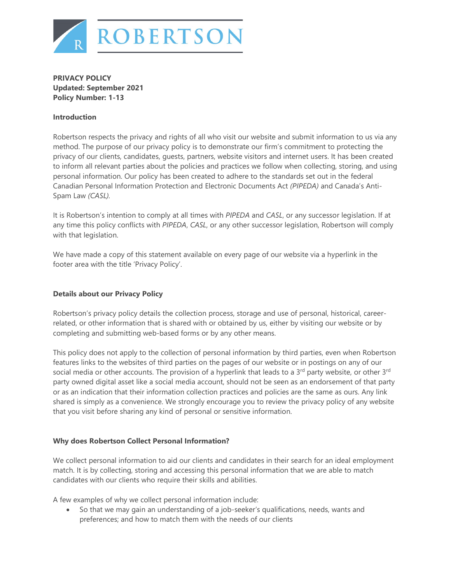

**PRIVACY POLICY Updated: September 2021 Policy Number: 1-13**

## **Introduction**

Robertson respects the privacy and rights of all who visit our website and submit information to us via any method. The purpose of our privacy policy is to demonstrate our firm's commitment to protecting the privacy of our clients, candidates, guests, partners, website visitors and internet users. It has been created to inform all relevant parties about the policies and practices we follow when collecting, storing, and using personal information. Our policy has been created to adhere to the standards set out in the federal Canadian Personal Information Protection and Electronic Documents Act *(PIPEDA)* and Canada's Anti-Spam Law *(CASL).*

It is Robertson's intention to comply at all times with *PIPEDA* and *CASL*, or any successor legislation. If at any time this policy conflicts with *PIPEDA*, *CASL*, or any other successor legislation, Robertson will comply with that legislation.

We have made a copy of this statement available on every page of our website via a hyperlink in the footer area with the title 'Privacy Policy'.

## **Details about our Privacy Policy**

Robertson's privacy policy details the collection process, storage and use of personal, historical, careerrelated, or other information that is shared with or obtained by us, either by visiting our website or by completing and submitting web-based forms or by any other means.

This policy does not apply to the collection of personal information by third parties, even when Robertson features links to the websites of third parties on the pages of our website or in postings on any of our social media or other accounts. The provision of a hyperlink that leads to a  $3<sup>rd</sup>$  party website, or other  $3<sup>rd</sup>$ party owned digital asset like a social media account, should not be seen as an endorsement of that party or as an indication that their information collection practices and policies are the same as ours. Any link shared is simply as a convenience. We strongly encourage you to review the privacy policy of any website that you visit before sharing any kind of personal or sensitive information.

### **Why does Robertson Collect Personal Information?**

We collect personal information to aid our clients and candidates in their search for an ideal employment match. It is by collecting, storing and accessing this personal information that we are able to match candidates with our clients who require their skills and abilities.

A few examples of why we collect personal information include:

• So that we may gain an understanding of a job-seeker's qualifications, needs, wants and preferences; and how to match them with the needs of our clients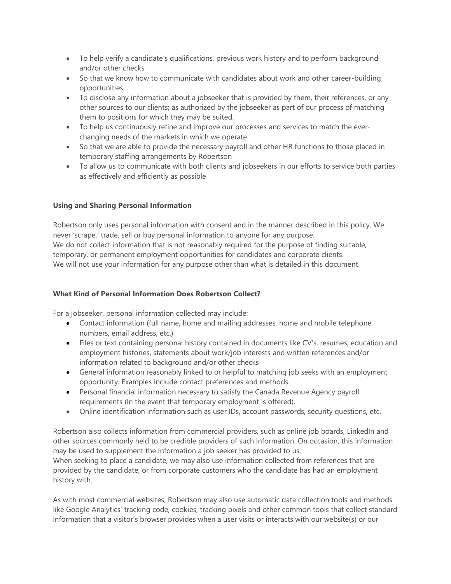- To help verify a candidate's qualifications, previous work history and to perform background and/or other checks
- So that we know how to communicate with candidates about work and other career-building opportunities
- To disclose any information about a jobseeker that is provided by them, their references, or any other sources to our clients; as authorized by the jobseeker as part of our process of matching them to positions for which they may be suited.
- To help us continuously refine and improve our processes and services to match the everchanging needs of the markets in which we operate
- So that we are able to provide the necessary payroll and other HR functions to those placed in temporary staffing arrangements by Robertson
- To allow us to communicate with both clients and jobseekers in our efforts to service both parties as effectively and efficiently as possible

# **Using and Sharing Personal Information**

Robertson only uses personal information with consent and in the manner described in this policy. We never 'scrape,' trade, sell or buy personal information to anyone for any purpose. We do not collect information that is not reasonably required for the purpose of finding suitable, temporary, or permanent employment opportunities for candidates and corporate clients. We will not use your information for any purpose other than what is detailed in this document.

# **What Kind of Personal Information Does Robertson Collect?**

For a jobseeker, personal information collected may include:

- Contact information (full name, home and mailing addresses, home and mobile telephone numbers, email address, etc.)
- Files or text containing personal history contained in documents like CV's, resumes, education and employment histories, statements about work/job interests and written references and/or information related to background and/or other checks
- General information reasonably linked to or helpful to matching job seeks with an employment opportunity. Examples include contact preferences and methods.
- Personal financial information necessary to satisfy the Canada Revenue Agency payroll requirements (In the event that temporary employment is offered).
- Online identification information such as user IDs, account passwords, security questions, etc.

Robertson also collects information from commercial providers, such as online job boards, LinkedIn and other sources commonly held to be credible providers of such information. On occasion, this information may be used to supplement the information a job seeker has provided to us.

When seeking to place a candidate, we may also use information collected from references that are provided by the candidate, or from corporate customers who the candidate has had an employment history with.

As with most commercial websites, Robertson may also use automatic data collection tools and methods like Google Analytics' tracking code, cookies, tracking pixels and other common tools that collect standard information that a visitor's browser provides when a user visits or interacts with our website(s) or our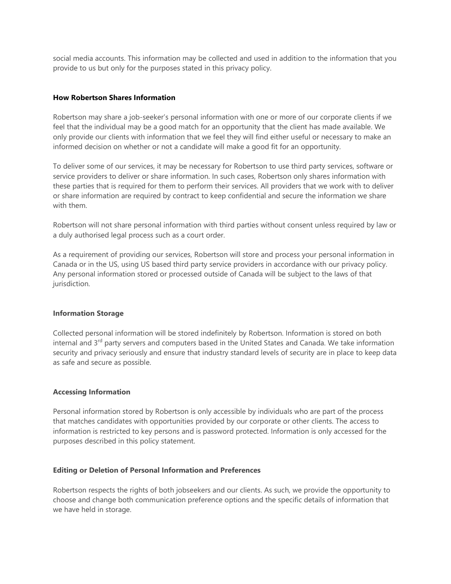social media accounts. This information may be collected and used in addition to the information that you provide to us but only for the purposes stated in this privacy policy.

#### **How Robertson Shares Information**

Robertson may share a job-seeker's personal information with one or more of our corporate clients if we feel that the individual may be a good match for an opportunity that the client has made available. We only provide our clients with information that we feel they will find either useful or necessary to make an informed decision on whether or not a candidate will make a good fit for an opportunity.

To deliver some of our services, it may be necessary for Robertson to use third party services, software or service providers to deliver or share information. In such cases, Robertson only shares information with these parties that is required for them to perform their services. All providers that we work with to deliver or share information are required by contract to keep confidential and secure the information we share with them.

Robertson will not share personal information with third parties without consent unless required by law or a duly authorised legal process such as a court order.

As a requirement of providing our services, Robertson will store and process your personal information in Canada or in the US, using US based third party service providers in accordance with our privacy policy. Any personal information stored or processed outside of Canada will be subject to the laws of that jurisdiction.

#### **Information Storage**

Collected personal information will be stored indefinitely by Robertson. Information is stored on both internal and 3<sup>rd</sup> party servers and computers based in the United States and Canada. We take information security and privacy seriously and ensure that industry standard levels of security are in place to keep data as safe and secure as possible.

### **Accessing Information**

Personal information stored by Robertson is only accessible by individuals who are part of the process that matches candidates with opportunities provided by our corporate or other clients. The access to information is restricted to key persons and is password protected. Information is only accessed for the purposes described in this policy statement.

#### **Editing or Deletion of Personal Information and Preferences**

Robertson respects the rights of both jobseekers and our clients. As such, we provide the opportunity to choose and change both communication preference options and the specific details of information that we have held in storage.